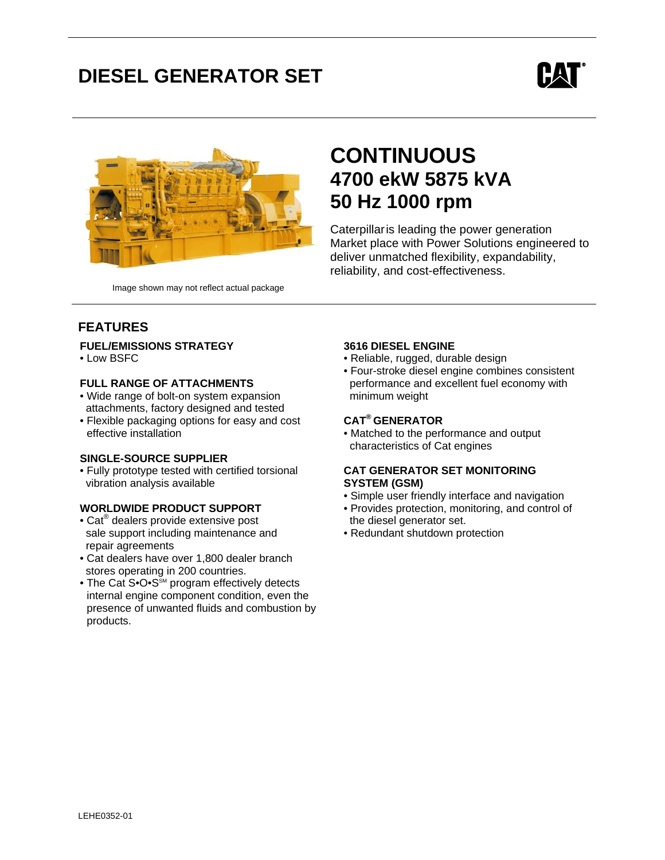# **DIESEL GENERATOR SET**





# **CONTINUOUS 4700 ekW 5875 kVA 50 Hz 1000 rpm**

Caterpillaris leading the power generation Market place with Power Solutions engineered to deliver unmatched flexibility, expandability, reliability, and cost-effectiveness.

Image shown may not reflect actual package

# **FEATURES**

### **FUEL/EMISSIONS STRATEGY**

• Low BSFC

### **FULL RANGE OF ATTACHMENTS**

- Wide range of bolt-on system expansion attachments, factory designed and tested
- Flexible packaging options for easy and cost effective installation

### **SINGLE-SOURCE SUPPLIER**

• Fully prototype tested with certified torsional vibration analysis available

### **WORLDWIDE PRODUCT SUPPORT**

- Cat<sup>®</sup> dealers provide extensive post sale support including maintenance and repair agreements
- Cat dealers have over 1,800 dealer branch stores operating in 200 countries.
- The Cat S• $O \cdot S^{\text{SM}}$  program effectively detects internal engine component condition, even the presence of unwanted fluids and combustion by products.

### **3616 DIESEL ENGINE**

- Reliable, rugged, durable design
- Four-stroke diesel engine combines consistent performance and excellent fuel economy with minimum weight

# **CAT® GENERATOR**

• Matched to the performance and output characteristics of Cat engines

#### **CAT GENERATOR SET MONITORING SYSTEM (GSM)**

- Simple user friendly interface and navigation
- Provides protection, monitoring, and control of the diesel generator set.
- Redundant shutdown protection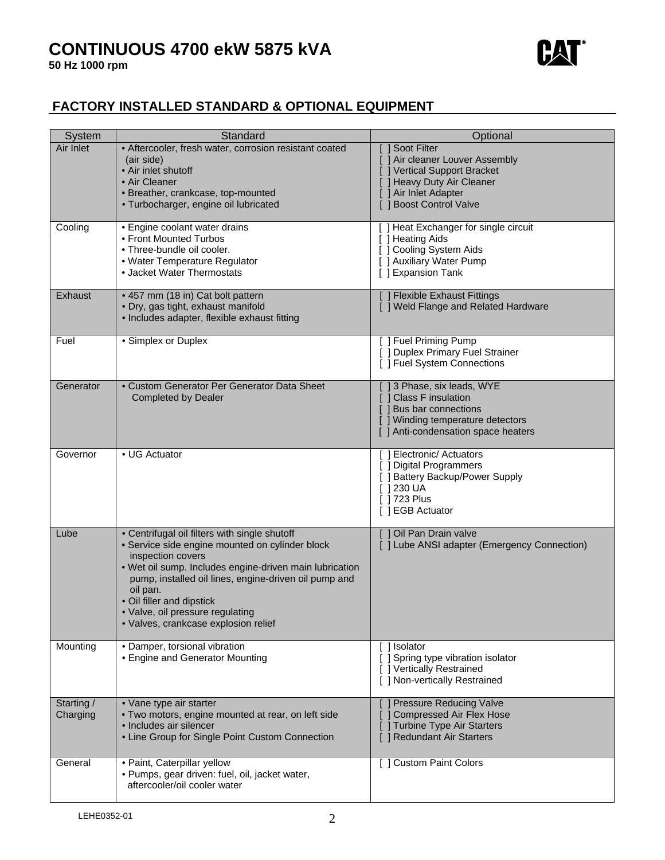# **CONTINUOUS 4700 ekW 5875 kVA**



# **FACTORY INSTALLED STANDARD & OPTIONAL EQUIPMENT**

| <b>System</b>          | Standard                                                                                                                                                                                                                                                                                                                                                       | Optional                                                                                                                                                       |
|------------------------|----------------------------------------------------------------------------------------------------------------------------------------------------------------------------------------------------------------------------------------------------------------------------------------------------------------------------------------------------------------|----------------------------------------------------------------------------------------------------------------------------------------------------------------|
| Air Inlet              | • Aftercooler, fresh water, corrosion resistant coated<br>(air side)<br>• Air inlet shutoff<br>• Air Cleaner<br>· Breather, crankcase, top-mounted<br>· Turbocharger, engine oil lubricated                                                                                                                                                                    | Soot Filter<br>[ ] Air cleaner Louver Assembly<br>J Vertical Support Bracket<br>[ ] Heavy Duty Air Cleaner<br>[ ] Air Inlet Adapter<br>[ ] Boost Control Valve |
| Cooling                | • Engine coolant water drains<br>• Front Mounted Turbos<br>• Three-bundle oil cooler.<br>• Water Temperature Regulator<br>• Jacket Water Thermostats                                                                                                                                                                                                           | [ ] Heat Exchanger for single circuit<br>[ ] Heating Aids<br>[ ] Cooling System Aids<br>[ ] Auxiliary Water Pump<br>[ ] Expansion Tank                         |
| Exhaust                | • 457 mm (18 in) Cat bolt pattern<br>· Dry, gas tight, exhaust manifold<br>• Includes adapter, flexible exhaust fitting                                                                                                                                                                                                                                        | [ ] Flexible Exhaust Fittings<br>[ ] Weld Flange and Related Hardware                                                                                          |
| Fuel                   | • Simplex or Duplex                                                                                                                                                                                                                                                                                                                                            | [ ] Fuel Priming Pump<br>[ ] Duplex Primary Fuel Strainer<br>[ ] Fuel System Connections                                                                       |
| Generator              | • Custom Generator Per Generator Data Sheet<br><b>Completed by Dealer</b>                                                                                                                                                                                                                                                                                      | [ ] 3 Phase, six leads, WYE<br>[ ] Class F insulation<br>[ ] Bus bar connections<br>[ ] Winding temperature detectors<br>[ ] Anti-condensation space heaters   |
| Governor               | • UG Actuator                                                                                                                                                                                                                                                                                                                                                  | [ ] Electronic/ Actuators<br>[ ] Digital Programmers<br>[ ] Battery Backup/Power Supply<br>$\lceil$ 1230 UA<br>[ 1723 Plus<br>[ ] EGB Actuator                 |
| Lube                   | • Centrifugal oil filters with single shutoff<br>· Service side engine mounted on cylinder block<br>inspection covers<br>. Wet oil sump. Includes engine-driven main lubrication<br>pump, installed oil lines, engine-driven oil pump and<br>oil pan.<br>• Oil filler and dipstick<br>· Valve, oil pressure regulating<br>· Valves, crankcase explosion relief | Oil Pan Drain valve<br>Γl<br>[ ] Lube ANSI adapter (Emergency Connection)                                                                                      |
| Mounting               | • Damper, torsional vibration<br>• Engine and Generator Mounting                                                                                                                                                                                                                                                                                               | [] Isolator<br>Spring type vibration isolator<br>[ ] Vertically Restrained<br>[ ] Non-vertically Restrained                                                    |
| Starting /<br>Charging | • Vane type air starter<br>. Two motors, engine mounted at rear, on left side<br>· Includes air silencer<br>• Line Group for Single Point Custom Connection                                                                                                                                                                                                    | <b>Pressure Reducing Valve</b><br>Compressed Air Flex Hose<br>Turbine Type Air Starters<br><b>Redundant Air Starters</b>                                       |
| General                | · Paint, Caterpillar yellow<br>· Pumps, gear driven: fuel, oil, jacket water,<br>aftercooler/oil cooler water                                                                                                                                                                                                                                                  | [ ] Custom Paint Colors                                                                                                                                        |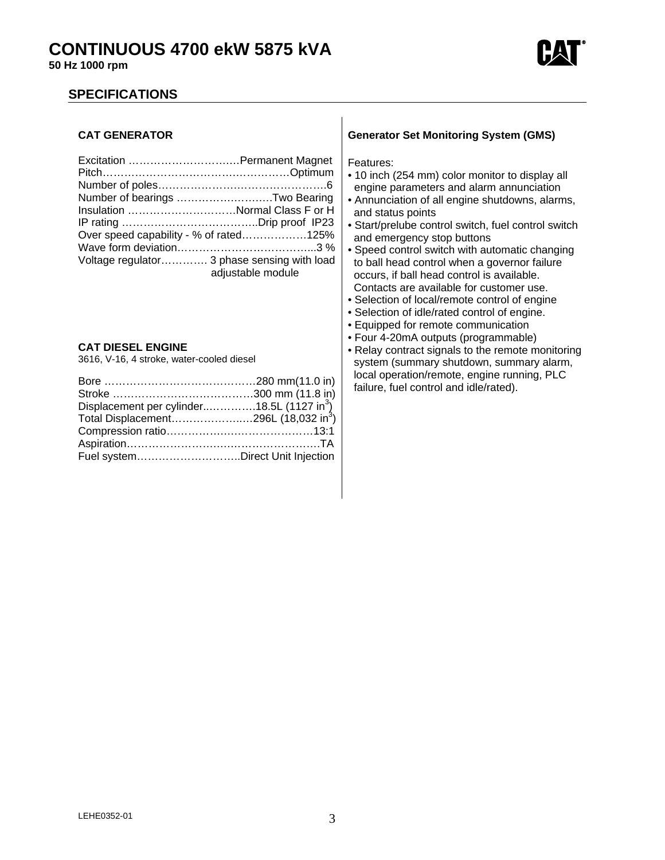



## **SPECIFICATIONS**

#### **CAT GENERATOR**

| Number of bearings Two Bearing              |                   |
|---------------------------------------------|-------------------|
| Insulation Normal Class F or H              |                   |
|                                             |                   |
| Over speed capability - % of rated125%      |                   |
|                                             |                   |
| Voltage regulator 3 phase sensing with load | adjustable module |

#### **CAT DIESEL ENGINE**

3616, V-16, 4 stroke, water-cooled diesel

| Displacement per cylinder18.5L (1127 in <sup>3</sup> ) |  |
|--------------------------------------------------------|--|
| Total Displacement296L (18,032 in <sup>3</sup> )       |  |
|                                                        |  |
|                                                        |  |
| Fuel systemDirect Unit Injection                       |  |

#### **Generator Set Monitoring System (GMS)**

Features:

- 10 inch (254 mm) color monitor to display all engine parameters and alarm annunciation
- Annunciation of all engine shutdowns, alarms, and status points
- Start/prelube control switch, fuel control switch and emergency stop buttons
- Speed control switch with automatic changing to ball head control when a governor failure occurs, if ball head control is available. Contacts are available for customer use.
- Selection of local/remote control of engine
- Selection of idle/rated control of engine.
- Equipped for remote communication
- Four 4-20mA outputs (programmable)
- Relay contract signals to the remote monitoring system (summary shutdown, summary alarm, local operation/remote, engine running, PLC failure, fuel control and idle/rated).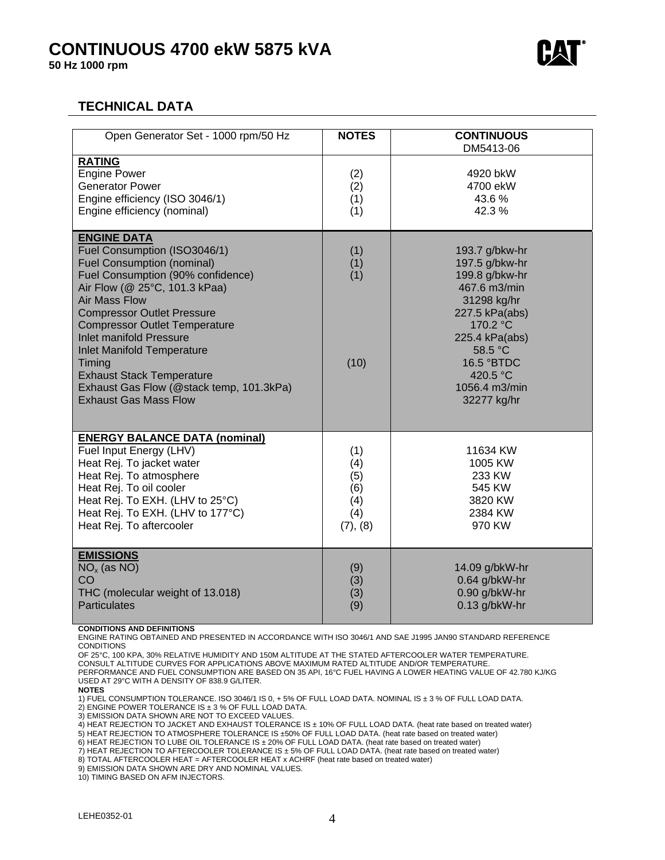# **CONTINUOUS 4700 ekW 5875 kVA**

**50 Hz 1000 rpm** 



# **TECHNICAL DATA**

| Open Generator Set - 1000 rpm/50 Hz                                                                                                                                                                                                                                                                                                                                                                                                                                 | <b>NOTES</b>                                       | <b>CONTINUOUS</b><br>DM5413-06                                                                                                                                                                         |
|---------------------------------------------------------------------------------------------------------------------------------------------------------------------------------------------------------------------------------------------------------------------------------------------------------------------------------------------------------------------------------------------------------------------------------------------------------------------|----------------------------------------------------|--------------------------------------------------------------------------------------------------------------------------------------------------------------------------------------------------------|
| <b>RATING</b><br><b>Engine Power</b><br><b>Generator Power</b><br>Engine efficiency (ISO 3046/1)<br>Engine efficiency (nominal)                                                                                                                                                                                                                                                                                                                                     | (2)<br>(2)<br>(1)<br>(1)                           | 4920 bkW<br>4700 ekW<br>43.6%<br>42.3%                                                                                                                                                                 |
| <b>ENGINE DATA</b><br>Fuel Consumption (ISO3046/1)<br><b>Fuel Consumption (nominal)</b><br>Fuel Consumption (90% confidence)<br>Air Flow (@ 25°C, 101.3 kPaa)<br><b>Air Mass Flow</b><br><b>Compressor Outlet Pressure</b><br><b>Compressor Outlet Temperature</b><br><b>Inlet manifold Pressure</b><br><b>Inlet Manifold Temperature</b><br>Timing<br><b>Exhaust Stack Temperature</b><br>Exhaust Gas Flow (@stack temp, 101.3kPa)<br><b>Exhaust Gas Mass Flow</b> | (1)<br>(1)<br>(1)<br>(10)                          | 193.7 g/bkw-hr<br>197.5 g/bkw-hr<br>199.8 g/bkw-hr<br>467.6 m3/min<br>31298 kg/hr<br>227.5 kPa(abs)<br>170.2 °C<br>225.4 kPa(abs)<br>58.5 °C<br>16.5 °BTDC<br>420.5 °C<br>1056.4 m3/min<br>32277 kg/hr |
| <b>ENERGY BALANCE DATA (nominal)</b><br>Fuel Input Energy (LHV)<br>Heat Rej. To jacket water<br>Heat Rej. To atmosphere<br>Heat Rej. To oil cooler<br>Heat Rej. To EXH. (LHV to 25°C)<br>Heat Rej. To EXH. (LHV to 177°C)<br>Heat Rej. To aftercooler                                                                                                                                                                                                               | (1)<br>(4)<br>(5)<br>(6)<br>(4)<br>(4)<br>(7), (8) | 11634 KW<br>1005 KW<br>233 KW<br>545 KW<br>3820 KW<br>2384 KW<br>970 KW                                                                                                                                |
| <b>EMISSIONS</b><br>$NOx$ (as NO)<br>CO<br>THC (molecular weight of 13.018)<br><b>Particulates</b>                                                                                                                                                                                                                                                                                                                                                                  | (9)<br>(3)<br>(3)<br>(9)                           | 14.09 g/bkW-hr<br>0.64 g/bkW-hr<br>0.90 g/bkW-hr<br>0.13 g/bkW-hr                                                                                                                                      |

#### **CONDITIONS AND DEFINITIONS**

ENGINE RATING OBTAINED AND PRESENTED IN ACCORDANCE WITH ISO 3046/1 AND SAE J1995 JAN90 STANDARD REFERENCE **CONDITIONS** 

OF 25°C, 100 KPA, 30% RELATIVE HUMIDITY AND 150M ALTITUDE AT THE STATED AFTERCOOLER WATER TEMPERATURE.

CONSULT ALTITUDE CURVES FOR APPLICATIONS ABOVE MAXIMUM RATED ALTITUDE AND/OR TEMPERATURE. PERFORMANCE AND FUEL CONSUMPTION ARE BASED ON 35 API, 16°C FUEL HAVING A LOWER HEATING VALUE OF 42.780 KJ/KG USED AT 29°C WITH A DENSITY OF 838.9 G/LITER.

**NOTES** 

1) FUEL CONSUMPTION TOLERANCE. ISO 3046/1 IS 0, + 5% OF FULL LOAD DATA. NOMINAL IS ± 3 % OF FULL LOAD DATA.

2) ENGINE POWER TOLERANCE IS ± 3 % OF FULL LOAD DATA.

3) EMISSION DATA SHOWN ARE NOT TO EXCEED VALUES.

4) HEAT REJECTION TO JACKET AND EXHAUST TOLERANCE IS ± 10% OF FULL LOAD DATA. (heat rate based on treated water)

5) HEAT REJECTION TO ATMOSPHERE TOLERANCE IS ±50% OF FULL LOAD DATA. (heat rate based on treated water) 6) HEAT REJECTION TO LUBE OIL TOLERANCE IS ± 20% OF FULL LOAD DATA. (heat rate based on treated water)

7) HEAT REJECTION TO AFTERCOOLER TOLERANCE IS ± 5% OF FULL LOAD DATA. (heat rate based on treated water)

8) TOTAL AFTERCOOLER HEAT = AFTERCOOLER HEAT x ACHRF (heat rate based on treated water)

9) EMISSION DATA SHOWN ARE DRY AND NOMINAL VALUES.

10) TIMING BASED ON AFM INJECTORS.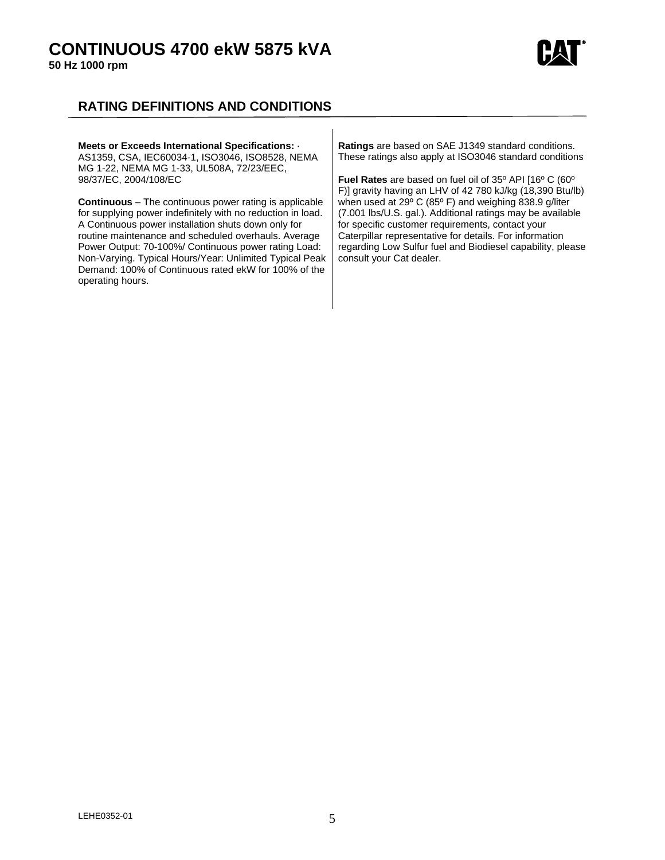# **CONTINUOUS 4700 ekW 5875 kVA**

**50 Hz 1000 rpm** 



# **RATING DEFINITIONS AND CONDITIONS**

#### **Meets or Exceeds International Specifications:** · AS1359, CSA, IEC60034-1, ISO3046, ISO8528, NEMA MG 1-22, NEMA MG 1-33, UL508A, 72/23/EEC, 98/37/EC, 2004/108/EC **Continuous** – The continuous power rating is applicable for supplying power indefinitely with no reduction in load. A Continuous power installation shuts down only for routine maintenance and scheduled overhauls. Average Power Output: 70-100%/ Continuous power rating Load: Non-Varying. Typical Hours/Year: Unlimited Typical Peak Demand: 100% of Continuous rated ekW for 100% of the operating hours. **Ratings** are based on SAE J1349 standard conditions. These ratings also apply at ISO3046 standard conditions **Fuel Rates** are based on fuel oil of 35º API [16º C (60º F)] gravity having an LHV of 42 780 kJ/kg (18,390 Btu/lb) when used at 29º C (85º F) and weighing 838.9 g/liter (7.001 lbs/U.S. gal.). Additional ratings may be available for specific customer requirements, contact your Caterpillar representative for details. For information regarding Low Sulfur fuel and Biodiesel capability, please consult your Cat dealer.